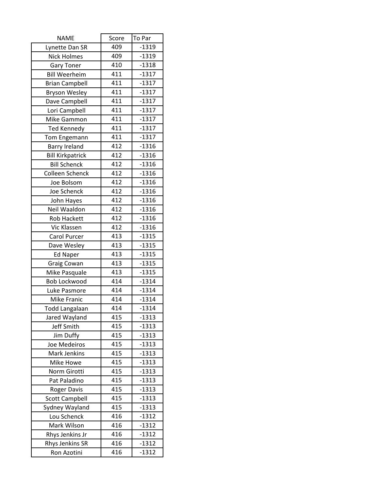| <b>NAME</b>             | Score | To Par  |
|-------------------------|-------|---------|
| Lynette Dan SR          | 409   | $-1319$ |
| <b>Nick Holmes</b>      | 409   | $-1319$ |
| <b>Gary Toner</b>       | 410   | $-1318$ |
| <b>Bill Weerheim</b>    | 411   | $-1317$ |
| <b>Brian Campbell</b>   | 411   | $-1317$ |
| <b>Bryson Wesley</b>    | 411   | $-1317$ |
| Dave Campbell           | 411   | $-1317$ |
| Lori Campbell           | 411   | $-1317$ |
| Mike Gammon             | 411   | $-1317$ |
| <b>Ted Kennedy</b>      | 411   | $-1317$ |
| Tom Engemann            | 411   | $-1317$ |
| <b>Barry Ireland</b>    | 412   | $-1316$ |
| <b>Bill Kirkpatrick</b> | 412   | $-1316$ |
| <b>Bill Schenck</b>     | 412   | $-1316$ |
| Colleen Schenck         | 412   | $-1316$ |
| Joe Bolsom              | 412   | $-1316$ |
| Joe Schenck             | 412   | $-1316$ |
| John Hayes              | 412   | $-1316$ |
| Neil Waaldon            | 412   | $-1316$ |
| <b>Rob Hackett</b>      | 412   | $-1316$ |
| Vic Klassen             | 412   | $-1316$ |
| Carol Purcer            | 413   | $-1315$ |
| Dave Wesley             | 413   | $-1315$ |
| <b>Ed Naper</b>         | 413   | $-1315$ |
| Graig Cowan             | 413   | $-1315$ |
| Mike Pasquale           | 413   | $-1315$ |
| <b>Bob Lockwood</b>     | 414   | $-1314$ |
| Luke Pasmore            | 414   | $-1314$ |
| <b>Mike Franic</b>      | 414   | $-1314$ |
| <b>Todd Langalaan</b>   | 414   | $-1314$ |
| Jared Wayland           | 415   | $-1313$ |
| Jeff Smith              | 415   | $-1313$ |
| Jim Duffy               | 415   | $-1313$ |
| Joe Medeiros            | 415   | $-1313$ |
| Mark Jenkins            | 415   | $-1313$ |
| Mike Howe               | 415   | $-1313$ |
| Norm Girotti            | 415   | $-1313$ |
| Pat Paladino            | 415   | $-1313$ |
| <b>Roger Davis</b>      | 415   | $-1313$ |
| <b>Scott Campbell</b>   | 415   | $-1313$ |
| Sydney Wayland          | 415   | $-1313$ |
| Lou Schenck             | 416   | $-1312$ |
| Mark Wilson             | 416   | $-1312$ |
| Rhys Jenkins Jr         | 416   | $-1312$ |
| Rhys Jenkins SR         | 416   | $-1312$ |
| Ron Azotini             | 416   | $-1312$ |